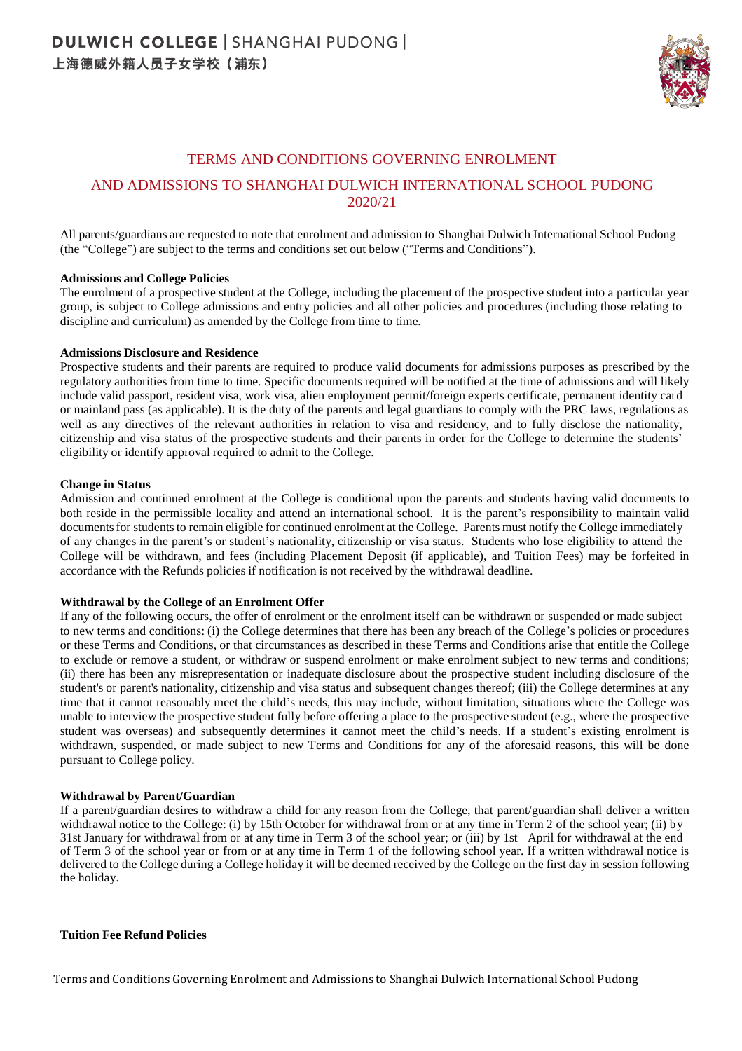

# TERMS AND CONDITIONS GOVERNING ENROLMENT

# AND ADMISSIONS TO SHANGHAI DULWICH INTERNATIONAL SCHOOL PUDONG 2020/21

All parents/guardians are requested to note that enrolment and admission to Shanghai Dulwich International School Pudong (the "College") are subject to the terms and conditions set out below ("Terms and Conditions").

#### **Admissions and College Policies**

The enrolment of a prospective student at the College, including the placement of the prospective student into a particular year group, is subject to College admissions and entry policies and all other policies and procedures (including those relating to discipline and curriculum) as amended by the College from time to time.

#### **Admissions Disclosure and Residence**

Prospective students and their parents are required to produce valid documents for admissions purposes as prescribed by the regulatory authorities from time to time. Specific documents required will be notified at the time of admissions and will likely include valid passport, resident visa, work visa, alien employment permit/foreign experts certificate, permanent identity card or mainland pass (as applicable). It is the duty of the parents and legal guardians to comply with the PRC laws, regulations as well as any directives of the relevant authorities in relation to visa and residency, and to fully disclose the nationality, citizenship and visa status of the prospective students and their parents in order for the College to determine the students' eligibility or identify approval required to admit to the College.

#### **Change in Status**

Admission and continued enrolment at the College is conditional upon the parents and students having valid documents to both reside in the permissible locality and attend an international school. It is the parent's responsibility to maintain valid documents for students to remain eligible for continued enrolment at the College. Parents must notify the College immediately of any changes in the parent's or student's nationality, citizenship or visa status. Students who lose eligibility to attend the College will be withdrawn, and fees (including Placement Deposit (if applicable), and Tuition Fees) may be forfeited in accordance with the Refunds policies if notification is not received by the withdrawal deadline.

# **Withdrawal by the College of an Enrolment Offer**

If any of the following occurs, the offer of enrolment or the enrolment itself can be withdrawn or suspended or made subject to new terms and conditions: (i) the College determines that there has been any breach of the College's policies or procedures or these Terms and Conditions, or that circumstances as described in these Terms and Conditions arise that entitle the College to exclude or remove a student, or withdraw or suspend enrolment or make enrolment subject to new terms and conditions; (ii) there has been any misrepresentation or inadequate disclosure about the prospective student including disclosure of the student's or parent's nationality, citizenship and visa status and subsequent changes thereof; (iii) the College determines at any time that it cannot reasonably meet the child's needs, this may include, without limitation, situations where the College was unable to interview the prospective student fully before offering a place to the prospective student (e.g., where the prospective student was overseas) and subsequently determines it cannot meet the child's needs. If a student's existing enrolment is withdrawn, suspended, or made subject to new Terms and Conditions for any of the aforesaid reasons, this will be done pursuant to College policy.

# **Withdrawal by Parent/Guardian**

If a parent/guardian desires to withdraw a child for any reason from the College, that parent/guardian shall deliver a written withdrawal notice to the College: (i) by 15th October for withdrawal from or at any time in Term 2 of the school year; (ii) by 31st January for withdrawal from or at any time in Term 3 of the school year; or (iii) by 1st April for withdrawal at the end of Term 3 of the school year or from or at any time in Term 1 of the following school year. If a written withdrawal notice is delivered to the College during a College holiday it will be deemed received by the College on the first day in session following the holiday.

# **Tuition Fee Refund Policies**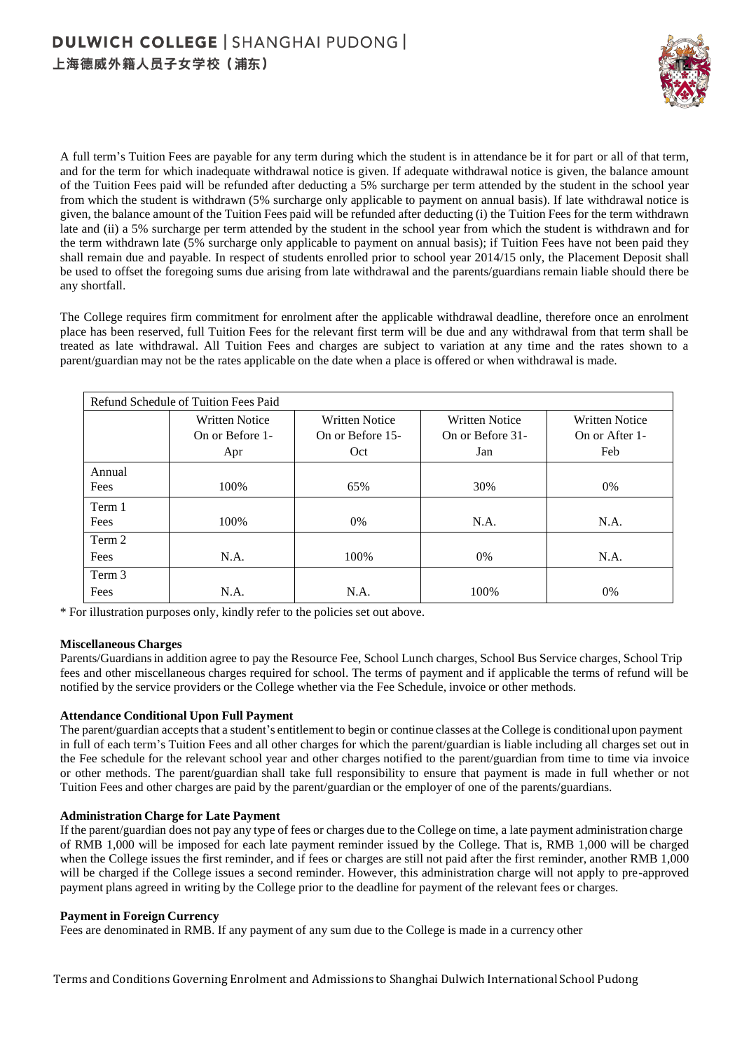

A full term's Tuition Fees are payable for any term during which the student is in attendance be it for part or all of that term, and for the term for which inadequate withdrawal notice is given. If adequate withdrawal notice is given, the balance amount of the Tuition Fees paid will be refunded after deducting a 5% surcharge per term attended by the student in the school year from which the student is withdrawn (5% surcharge only applicable to payment on annual basis). If late withdrawal notice is given, the balance amount of the Tuition Fees paid will be refunded after deducting (i) the Tuition Fees for the term withdrawn late and (ii) a 5% surcharge per term attended by the student in the school year from which the student is withdrawn and for the term withdrawn late (5% surcharge only applicable to payment on annual basis); if Tuition Fees have not been paid they shall remain due and payable. In respect of students enrolled prior to school year 2014/15 only, the Placement Deposit shall be used to offset the foregoing sums due arising from late withdrawal and the parents/guardians remain liable should there be any shortfall.

The College requires firm commitment for enrolment after the applicable withdrawal deadline, therefore once an enrolment place has been reserved, full Tuition Fees for the relevant first term will be due and any withdrawal from that term shall be treated as late withdrawal. All Tuition Fees and charges are subject to variation at any time and the rates shown to a parent/guardian may not be the rates applicable on the date when a place is offered or when withdrawal is made.

| Refund Schedule of Tuition Fees Paid |                       |                       |                       |                       |  |
|--------------------------------------|-----------------------|-----------------------|-----------------------|-----------------------|--|
|                                      | <b>Written Notice</b> | <b>Written Notice</b> | <b>Written Notice</b> | <b>Written Notice</b> |  |
|                                      | On or Before 1-       | On or Before 15-      | On or Before 31-      | On or After 1-        |  |
|                                      | Apr                   | Oct                   | Jan                   | Feb                   |  |
| Annual                               |                       |                       |                       |                       |  |
| Fees                                 | 100\%                 | 65%                   | 30%                   | $0\%$                 |  |
| Term 1                               |                       |                       |                       |                       |  |
| Fees                                 | 100%                  | $0\%$                 | N.A.                  | N.A.                  |  |
| Term 2                               |                       |                       |                       |                       |  |
| Fees                                 | N.A.                  | 100%                  | $0\%$                 | N.A.                  |  |
| Term 3                               |                       |                       |                       |                       |  |
| Fees                                 | N.A.                  | N.A.                  | 100%                  | $0\%$                 |  |

\* For illustration purposes only, kindly refer to the policies set out above.

# **Miscellaneous Charges**

Parents/Guardiansin addition agree to pay the Resource Fee, School Lunch charges, School Bus Service charges, School Trip fees and other miscellaneous charges required for school. The terms of payment and if applicable the terms of refund will be notified by the service providers or the College whether via the Fee Schedule, invoice or other methods.

# **Attendance Conditional Upon Full Payment**

The parent/guardian accepts that a student's entitlement to begin or continue classes at the College is conditional upon payment in full of each term's Tuition Fees and all other charges for which the parent/guardian is liable including all charges set out in the Fee schedule for the relevant school year and other charges notified to the parent/guardian from time to time via invoice or other methods. The parent/guardian shall take full responsibility to ensure that payment is made in full whether or not Tuition Fees and other charges are paid by the parent/guardian or the employer of one of the parents/guardians.

# **Administration Charge for Late Payment**

If the parent/guardian does not pay any type of fees or charges due to the College on time, a late payment administration charge of RMB 1,000 will be imposed for each late payment reminder issued by the College. That is, RMB 1,000 will be charged when the College issues the first reminder, and if fees or charges are still not paid after the first reminder, another RMB 1,000 will be charged if the College issues a second reminder. However, this administration charge will not apply to pre-approved payment plans agreed in writing by the College prior to the deadline for payment of the relevant fees or charges.

# **Payment in Foreign Currency**

Fees are denominated in RMB. If any payment of any sum due to the College is made in a currency other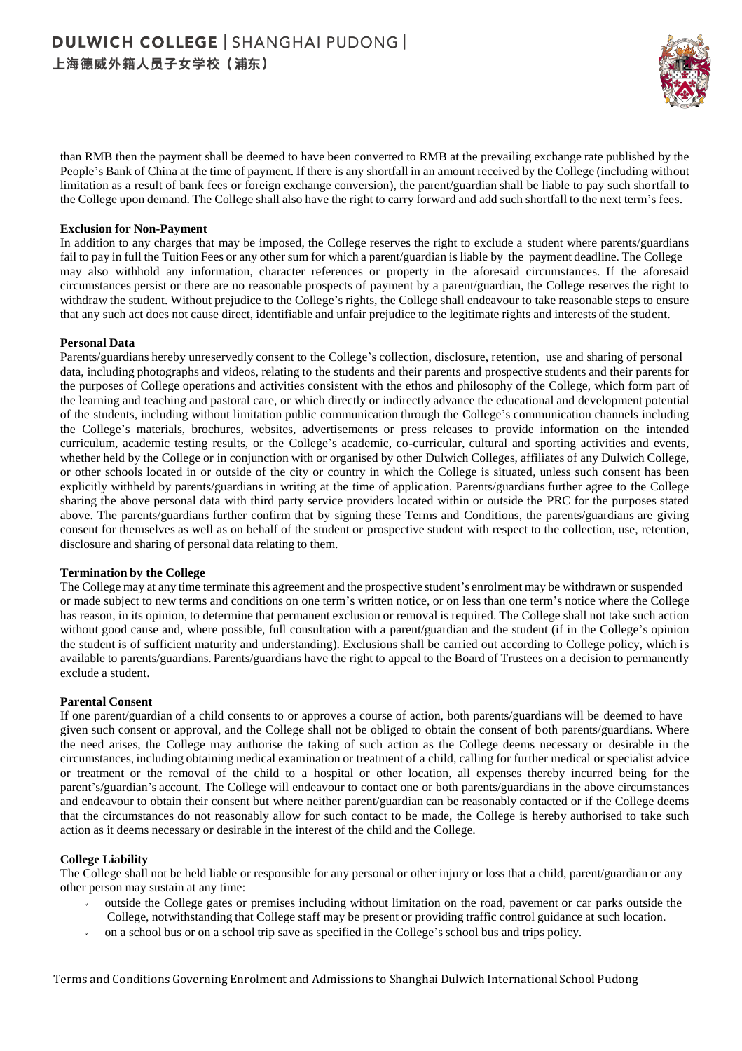

than RMB then the payment shall be deemed to have been converted to RMB at the prevailing exchange rate published by the People's Bank of China at the time of payment. If there is any shortfall in an amount received by the College (including without limitation as a result of bank fees or foreign exchange conversion), the parent/guardian shall be liable to pay such shortfall to the College upon demand. The College shall also have the right to carry forward and add such shortfall to the next term's fees.

# **Exclusion for Non-Payment**

In addition to any charges that may be imposed, the College reserves the right to exclude a student where parents/guardians fail to pay in full the Tuition Fees or any other sum for which a parent/guardian is liable by the payment deadline. The College may also withhold any information, character references or property in the aforesaid circumstances. If the aforesaid circumstances persist or there are no reasonable prospects of payment by a parent/guardian, the College reserves the right to withdraw the student. Without prejudice to the College's rights, the College shall endeavour to take reasonable steps to ensure that any such act does not cause direct, identifiable and unfair prejudice to the legitimate rights and interests of the student.

#### **Personal Data**

Parents/guardians hereby unreservedly consent to the College's collection, disclosure, retention, use and sharing of personal data, including photographs and videos, relating to the students and their parents and prospective students and their parents for the purposes of College operations and activities consistent with the ethos and philosophy of the College, which form part of the learning and teaching and pastoral care, or which directly or indirectly advance the educational and development potential of the students, including without limitation public communication through the College's communication channels including the College's materials, brochures, websites, advertisements or press releases to provide information on the intended curriculum, academic testing results, or the College's academic, co-curricular, cultural and sporting activities and events, whether held by the College or in conjunction with or organised by other Dulwich Colleges, affiliates of any Dulwich College, or other schools located in or outside of the city or country in which the College is situated, unless such consent has been explicitly withheld by parents/guardians in writing at the time of application. Parents/guardians further agree to the College sharing the above personal data with third party service providers located within or outside the PRC for the purposes stated above. The parents/guardians further confirm that by signing these Terms and Conditions, the parents/guardians are giving consent for themselves as well as on behalf of the student or prospective student with respect to the collection, use, retention, disclosure and sharing of personal data relating to them.

# **Termination by the College**

The College may at any time terminate this agreement and the prospective student's enrolment may be withdrawn or suspended or made subject to new terms and conditions on one term's written notice, or on less than one term's notice where the College has reason, in its opinion, to determine that permanent exclusion or removal is required. The College shall not take such action without good cause and, where possible, full consultation with a parent/guardian and the student (if in the College's opinion the student is of sufficient maturity and understanding). Exclusions shall be carried out according to College policy, which is available to parents/guardians. Parents/guardians have the right to appeal to the Board of Trustees on a decision to permanently exclude a student.

#### **Parental Consent**

If one parent/guardian of a child consents to or approves a course of action, both parents/guardians will be deemed to have given such consent or approval, and the College shall not be obliged to obtain the consent of both parents/guardians. Where the need arises, the College may authorise the taking of such action as the College deems necessary or desirable in the circumstances, including obtaining medical examination or treatment of a child, calling for further medical or specialist advice or treatment or the removal of the child to a hospital or other location, all expenses thereby incurred being for the parent's/guardian's account. The College will endeavour to contact one or both parents/guardians in the above circumstances and endeavour to obtain their consent but where neither parent/guardian can be reasonably contacted or if the College deems that the circumstances do not reasonably allow for such contact to be made, the College is hereby authorised to take such action as it deems necessary or desirable in the interest of the child and the College.

#### **College Liability**

The College shall not be held liable or responsible for any personal or other injury or loss that a child, parent/guardian or any other person may sustain at any time:

- outside the College gates or premises including without limitation on the road, pavement or car parks outside the College, notwithstanding that College staff may be present or providing traffic control guidance at such location.
- on a school bus or on a school trip save as specified in the College's school bus and trips policy.